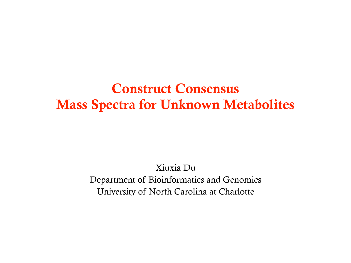### Construct Consensus Mass Spectra for Unknown Metabolites

Xiuxia Du Department of Bioinformatics and Genomics University of North Carolina at Charlotte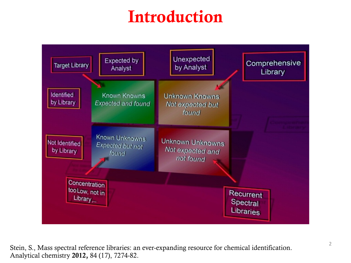# Introduction



<sup>2</sup> Stein, S., Mass spectral reference libraries: an ever-expanding resource for chemical identification. Analytical chemistry 2012, 84 (17), 7274-82.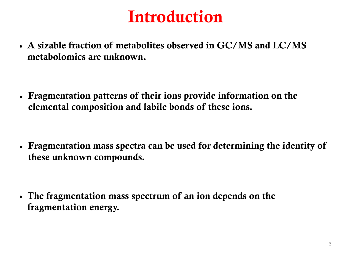## Introduction

• A sizable fraction of metabolites observed in GC/MS and LC/MS metabolomics are unknown.

**•** Fragmentation patterns of their ions provide information on the elemental composition and labile bonds of these ions.

**•** Fragmentation mass spectra can be used for determining the identity of these unknown compounds.

• The fragmentation mass spectrum of an ion depends on the fragmentation energy.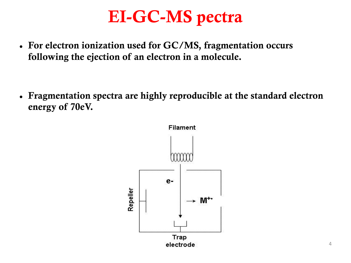## EI-GC-MS pectra

**•** For electron ionization used for GC/MS, fragmentation occurs following the ejection of an electron in a molecule.

**•** Fragmentation spectra are highly reproducible at the standard electron energy of 70eV.

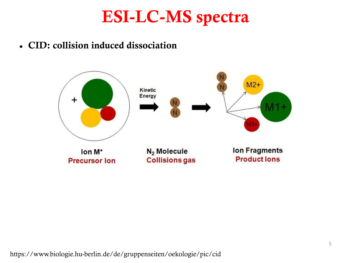## ESI-LC-MS spectra

**•** CID: collision induced dissociation

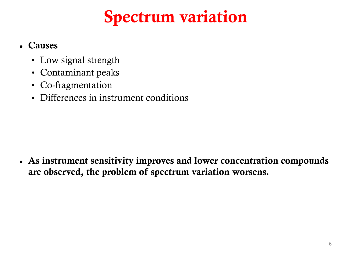# Spectrum variation

#### **•** Causes

- Low signal strength
- Contaminant peaks
- Co-fragmentation
- Differences in instrument conditions

**•** As instrument sensitivity improves and lower concentration compounds are observed, the problem of spectrum variation worsens.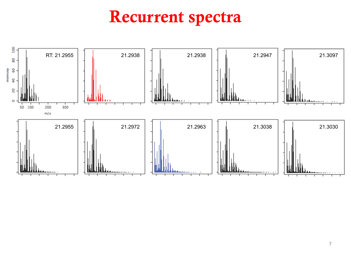## Recurrent spectra

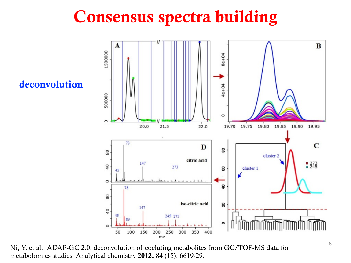## Consensus spectra building

deconvolution



<sup>8</sup> Ni, Y. et al., ADAP-GC 2.0: deconvolution of coeluting metabolites from GC/TOF-MS data for metabolomics studies. Analytical chemistry 2012, 84 (15), 6619-29.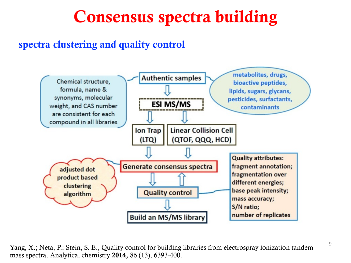## Consensus spectra building

#### spectra clustering and quality control



<sup>9</sup> Yang, X.; Neta, P.; Stein, S. E., Quality control for building libraries from electrospray ionization tandem mass spectra. Analytical chemistry 2014, 86 (13), 6393-400.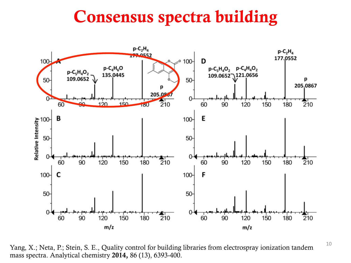## Consensus spectra building



Yang, X.; Neta, P.; Stein, S. E., Quality control for building libraries from electrospray ionization tandem mass spectra. Analytical chemistry 2014, 86 (13), 6393-400.